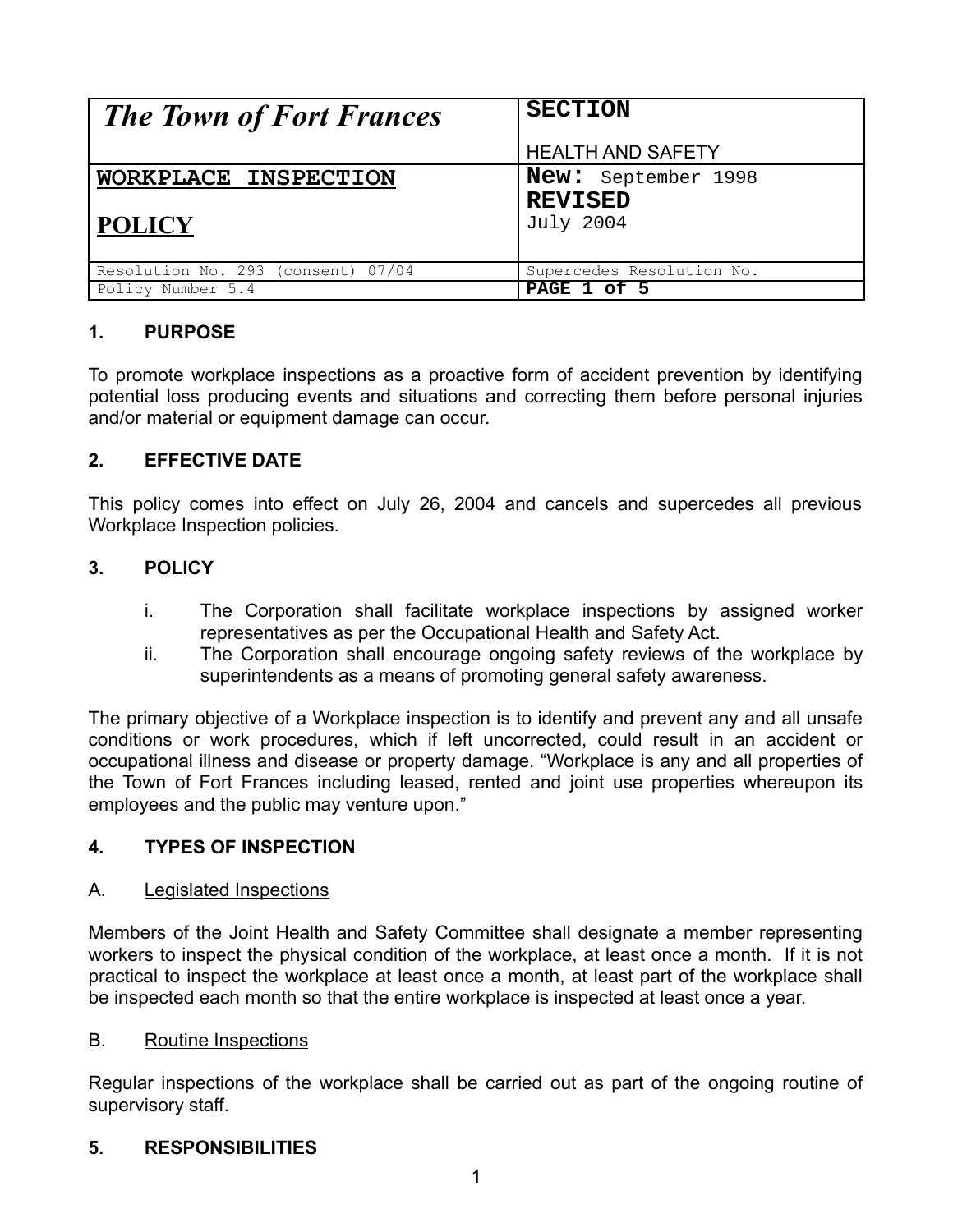| <b>The Town of Fort Frances</b>    | <b>SECTION</b>            |  |
|------------------------------------|---------------------------|--|
|                                    | <b>HEALTH AND SAFETY</b>  |  |
| WORKPLACE INSPECTION               | New: September 1998       |  |
|                                    | <b>REVISED</b>            |  |
| <b>POLICY</b>                      | <b>July 2004</b>          |  |
|                                    |                           |  |
| Resolution No. 293 (consent) 07/04 | Supercedes Resolution No. |  |
| Policy Number 5.4                  | PAGE 1 of 5               |  |

# **1. PURPOSE**

To promote workplace inspections as a proactive form of accident prevention by identifying potential loss producing events and situations and correcting them before personal injuries and/or material or equipment damage can occur.

## **2. EFFECTIVE DATE**

This policy comes into effect on July 26, 2004 and cancels and supercedes all previous Workplace Inspection policies.

## **3. POLICY**

- i. The Corporation shall facilitate workplace inspections by assigned worker representatives as per the Occupational Health and Safety Act.
- ii. The Corporation shall encourage ongoing safety reviews of the workplace by superintendents as a means of promoting general safety awareness.

The primary objective of a Workplace inspection is to identify and prevent any and all unsafe conditions or work procedures, which if left uncorrected, could result in an accident or occupational illness and disease or property damage. "Workplace is any and all properties of the Town of Fort Frances including leased, rented and joint use properties whereupon its employees and the public may venture upon."

## **4. TYPES OF INSPECTION**

#### A. Legislated Inspections

Members of the Joint Health and Safety Committee shall designate a member representing workers to inspect the physical condition of the workplace, at least once a month. If it is not practical to inspect the workplace at least once a month, at least part of the workplace shall be inspected each month so that the entire workplace is inspected at least once a year.

#### B. Routine Inspections

Regular inspections of the workplace shall be carried out as part of the ongoing routine of supervisory staff.

## **5. RESPONSIBILITIES**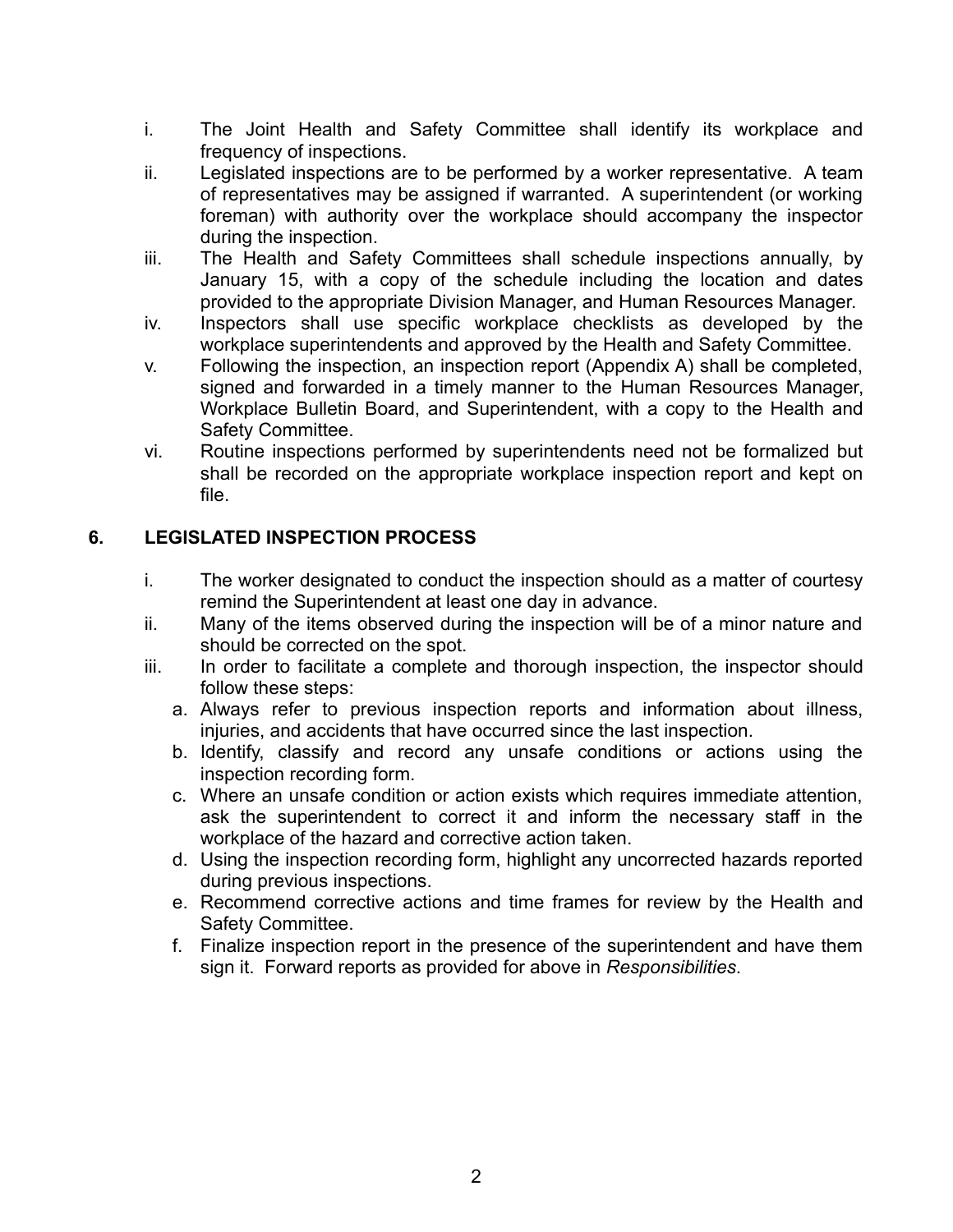- i. The Joint Health and Safety Committee shall identify its workplace and frequency of inspections.
- ii. Legislated inspections are to be performed by a worker representative. A team of representatives may be assigned if warranted. A superintendent (or working foreman) with authority over the workplace should accompany the inspector during the inspection.
- iii. The Health and Safety Committees shall schedule inspections annually, by January 15, with a copy of the schedule including the location and dates provided to the appropriate Division Manager, and Human Resources Manager.
- iv. Inspectors shall use specific workplace checklists as developed by the workplace superintendents and approved by the Health and Safety Committee.
- v. Following the inspection, an inspection report (Appendix A) shall be completed, signed and forwarded in a timely manner to the Human Resources Manager, Workplace Bulletin Board, and Superintendent, with a copy to the Health and Safety Committee.
- vi. Routine inspections performed by superintendents need not be formalized but shall be recorded on the appropriate workplace inspection report and kept on file.

# **6. LEGISLATED INSPECTION PROCESS**

- i. The worker designated to conduct the inspection should as a matter of courtesy remind the Superintendent at least one day in advance.
- ii. Many of the items observed during the inspection will be of a minor nature and should be corrected on the spot.
- iii. In order to facilitate a complete and thorough inspection, the inspector should follow these steps:
	- a. Always refer to previous inspection reports and information about illness, injuries, and accidents that have occurred since the last inspection.
	- b. Identify, classify and record any unsafe conditions or actions using the inspection recording form.
	- c. Where an unsafe condition or action exists which requires immediate attention, ask the superintendent to correct it and inform the necessary staff in the workplace of the hazard and corrective action taken.
	- d. Using the inspection recording form, highlight any uncorrected hazards reported during previous inspections.
	- e. Recommend corrective actions and time frames for review by the Health and Safety Committee.
	- f. Finalize inspection report in the presence of the superintendent and have them sign it. Forward reports as provided for above in *Responsibilities*.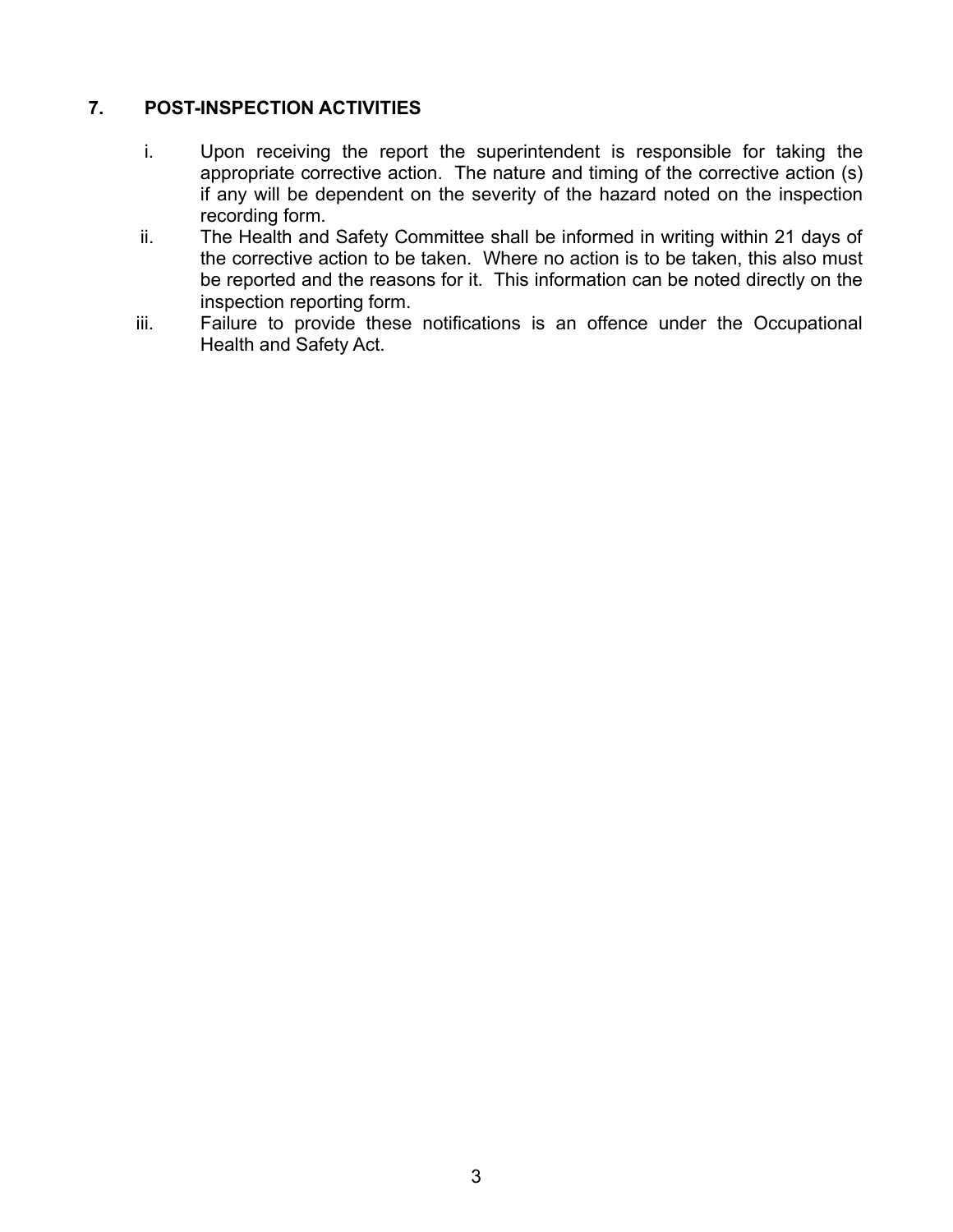## **7. POST-INSPECTION ACTIVITIES**

- i. Upon receiving the report the superintendent is responsible for taking the appropriate corrective action. The nature and timing of the corrective action (s) if any will be dependent on the severity of the hazard noted on the inspection recording form.
- ii. The Health and Safety Committee shall be informed in writing within 21 days of the corrective action to be taken. Where no action is to be taken, this also must be reported and the reasons for it. This information can be noted directly on the inspection reporting form.
- iii. Failure to provide these notifications is an offence under the Occupational Health and Safety Act.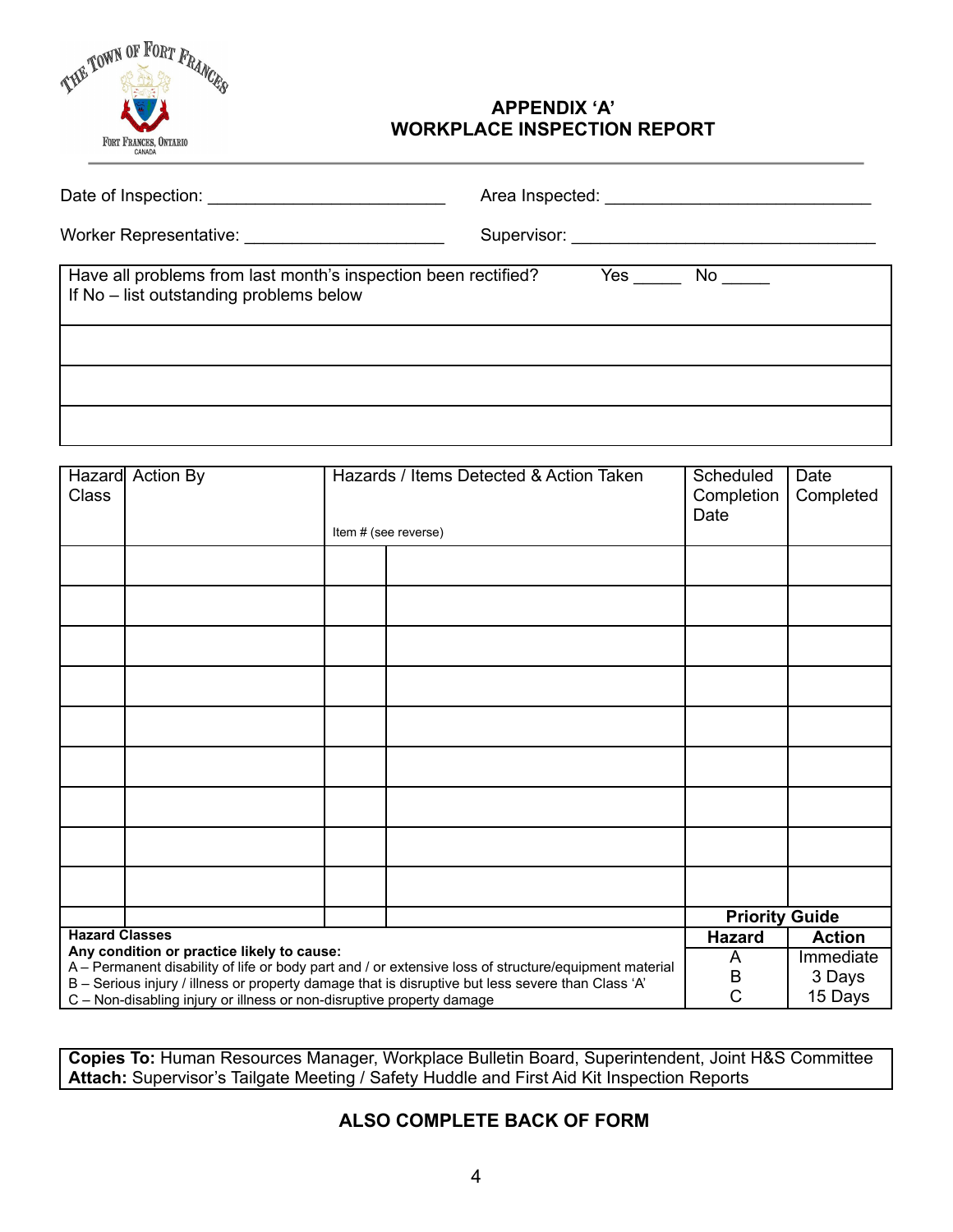

#### **APPENDIX 'A' WORKPLACE INSPECTION REPORT**

|                                                                                                           | Supervisor: ____________________________ |
|-----------------------------------------------------------------------------------------------------------|------------------------------------------|
| Have all problems from last month's inspection been rectified?<br>If No – list outstanding problems below | $Yes$ No $No$                            |
|                                                                                                           |                                          |
|                                                                                                           |                                          |
|                                                                                                           |                                          |

| <b>Class</b>                                                                                                                                        | Hazard Action By |               | Hazards / Items Detected & Action Taken | Scheduled<br>Completion<br>Date | Date<br>Completed |
|-----------------------------------------------------------------------------------------------------------------------------------------------------|------------------|---------------|-----------------------------------------|---------------------------------|-------------------|
|                                                                                                                                                     |                  |               | Item # (see reverse)                    |                                 |                   |
|                                                                                                                                                     |                  |               |                                         |                                 |                   |
|                                                                                                                                                     |                  |               |                                         |                                 |                   |
|                                                                                                                                                     |                  |               |                                         |                                 |                   |
|                                                                                                                                                     |                  |               |                                         |                                 |                   |
|                                                                                                                                                     |                  |               |                                         |                                 |                   |
|                                                                                                                                                     |                  |               |                                         |                                 |                   |
|                                                                                                                                                     |                  |               |                                         |                                 |                   |
|                                                                                                                                                     |                  |               |                                         |                                 |                   |
|                                                                                                                                                     |                  |               |                                         |                                 |                   |
|                                                                                                                                                     |                  |               |                                         | <b>Priority Guide</b>           |                   |
| <b>Hazard Classes</b>                                                                                                                               |                  | <b>Hazard</b> | <b>Action</b>                           |                                 |                   |
| Any condition or practice likely to cause:<br>A - Permanent disability of life or body part and / or extensive loss of structure/equipment material |                  | A             | Immediate                               |                                 |                   |
| B - Serious injury / illness or property damage that is disruptive but less severe than Class 'A'                                                   |                  |               | B                                       | 3 Days                          |                   |
| C - Non-disabling injury or illness or non-disruptive property damage                                                                               |                  |               | C                                       | 15 Days                         |                   |

**Copies To:** Human Resources Manager, Workplace Bulletin Board, Superintendent, Joint H&S Committee **Attach:** Supervisor's Tailgate Meeting / Safety Huddle and First Aid Kit Inspection Reports

## **ALSO COMPLETE BACK OF FORM**